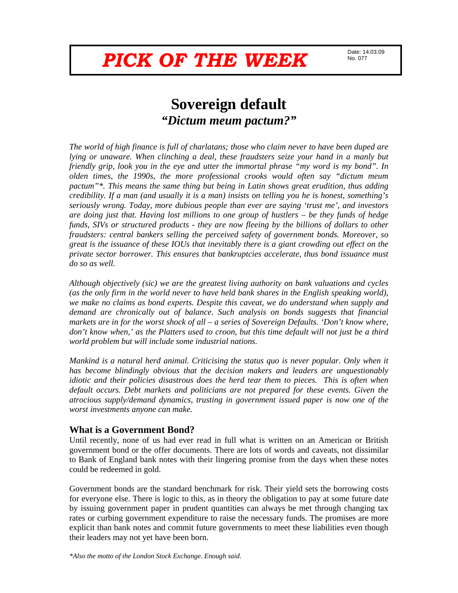# **PICK OF THE WEEK DATE: 14.03.09**

No. 077

# **Sovereign default**  *"Dictum meum pactum?"*

*The world of high finance is full of charlatans; those who claim never to have been duped are lying or unaware. When clinching a deal, these fraudsters seize your hand in a manly but friendly grip, look you in the eye and utter the immortal phrase "my word is my bond". In olden times, the 1990s, the more professional crooks would often say "dictum meum pactum"\*. This means the same thing but being in Latin shows great erudition, thus adding credibility. If a man (and usually it is a man) insists on telling you he is honest, something's seriously wrong. Today, more dubious people than ever are saying 'trust me', and investors are doing just that. Having lost millions to one group of hustlers – be they funds of hedge funds, SIVs or structured products - they are now fleeing by the billions of dollars to other fraudsters: central bankers selling the perceived safety of government bonds. Moreover, so great is the issuance of these IOUs that inevitably there is a giant crowding out effect on the private sector borrower. This ensures that bankruptcies accelerate, thus bond issuance must do so as well.* 

*Although objectively (sic) we are the greatest living authority on bank valuations and cycles (as the only firm in the world never to have held bank shares in the English speaking world), we make no claims as bond experts. Despite this caveat, we do understand when supply and demand are chronically out of balance. Such analysis on bonds suggests that financial markets are in for the worst shock of all – a series of Sovereign Defaults. 'Don't know where, don't know when,' as the Platters used to croon, but this time default will not just be a third world problem but will include some industrial nations.* 

*Mankind is a natural herd animal. Criticising the status quo is never popular. Only when it has become blindingly obvious that the decision makers and leaders are unquestionably idiotic and their policies disastrous does the herd tear them to pieces. This is often when default occurs. Debt markets and politicians are not prepared for these events. Given the atrocious supply/demand dynamics, trusting in government issued paper is now one of the worst investments anyone can make.* 

# **What is a Government Bond?**

Until recently, none of us had ever read in full what is written on an American or British government bond or the offer documents. There are lots of words and caveats, not dissimilar to Bank of England bank notes with their lingering promise from the days when these notes could be redeemed in gold.

Government bonds are the standard benchmark for risk. Their yield sets the borrowing costs for everyone else. There is logic to this, as in theory the obligation to pay at some future date by issuing government paper in prudent quantities can always be met through changing tax rates or curbing government expenditure to raise the necessary funds. The promises are more explicit than bank notes and commit future governments to meet these liabilities even though their leaders may not yet have been born.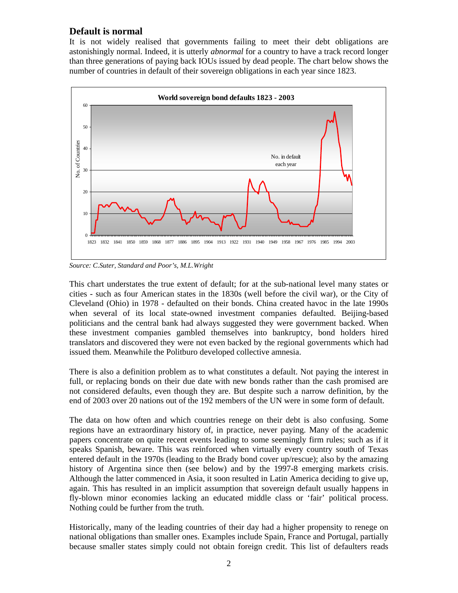# **Default is normal**

It is not widely realised that governments failing to meet their debt obligations are astonishingly normal. Indeed, it is utterly *abnormal* for a country to have a track record longer than three generations of paying back IOUs issued by dead people. The chart below shows the number of countries in default of their sovereign obligations in each year since 1823.



*Source: C.Suter, Standard and Poor's, M.L.Wright* 

This chart understates the true extent of default; for at the sub-national level many states or cities - such as four American states in the 1830s (well before the civil war), or the City of Cleveland (Ohio) in 1978 - defaulted on their bonds. China created havoc in the late 1990s when several of its local state-owned investment companies defaulted. Beijing-based politicians and the central bank had always suggested they were government backed. When these investment companies gambled themselves into bankruptcy, bond holders hired translators and discovered they were not even backed by the regional governments which had issued them. Meanwhile the Politburo developed collective amnesia.

There is also a definition problem as to what constitutes a default. Not paying the interest in full, or replacing bonds on their due date with new bonds rather than the cash promised are not considered defaults, even though they are. But despite such a narrow definition, by the end of 2003 over 20 nations out of the 192 members of the UN were in some form of default.

The data on how often and which countries renege on their debt is also confusing. Some regions have an extraordinary history of, in practice, never paying. Many of the academic papers concentrate on quite recent events leading to some seemingly firm rules; such as if it speaks Spanish, beware. This was reinforced when virtually every country south of Texas entered default in the 1970s (leading to the Brady bond cover up/rescue); also by the amazing history of Argentina since then (see below) and by the 1997-8 emerging markets crisis. Although the latter commenced in Asia, it soon resulted in Latin America deciding to give up, again. This has resulted in an implicit assumption that sovereign default usually happens in fly-blown minor economies lacking an educated middle class or 'fair' political process. Nothing could be further from the truth.

Historically, many of the leading countries of their day had a higher propensity to renege on national obligations than smaller ones. Examples include Spain, France and Portugal, partially because smaller states simply could not obtain foreign credit. This list of defaulters reads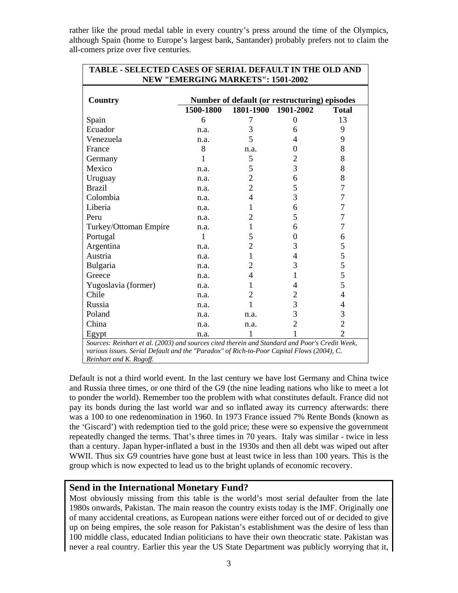rather like the proud medal table in every country's press around the time of the Olympics, although Spain (home to Europe's largest bank, Santander) probably prefers not to claim the all-comers prize over five centuries.

| <b>TABLE - SELECTED CASES OF SERIAL DEFAULT IN THE OLD AND</b><br><b>NEW "EMERGING MARKETS": 1501-2002</b> |                                               |                          |                |                |
|------------------------------------------------------------------------------------------------------------|-----------------------------------------------|--------------------------|----------------|----------------|
|                                                                                                            |                                               |                          |                |                |
| <b>Country</b>                                                                                             | Number of default (or restructuring) episodes |                          |                |                |
|                                                                                                            | 1500-1800                                     | 1801-1900                | 1901-2002      | <b>Total</b>   |
| Spain                                                                                                      | 6                                             | 7                        | $\theta$       | 13             |
| Ecuador                                                                                                    | n.a.                                          | 3                        | 6              | 9              |
| Venezuela                                                                                                  | n.a.                                          | 5                        | 4              | 9              |
| France                                                                                                     | 8                                             | n.a.                     | 0              | 8              |
| Germany                                                                                                    | $\mathbf{1}$                                  | 5                        | $\overline{2}$ | 8              |
| Mexico                                                                                                     | n.a.                                          | 5                        | 3              | 8              |
| Uruguay                                                                                                    | n.a.                                          | $\overline{2}$           | 6              | 8              |
| <b>Brazil</b>                                                                                              | n.a.                                          | $\overline{2}$           | 5              | 7              |
| Colombia                                                                                                   | n.a.                                          | $\overline{\mathcal{L}}$ | 3              | 7              |
| Liberia                                                                                                    | n.a.                                          | 1                        | 6              | 7              |
| Peru                                                                                                       | n.a.                                          | $\overline{2}$           | 5              | 7              |
| Turkey/Ottoman Empire                                                                                      | n.a.                                          | 1                        | 6              | 7              |
| Portugal                                                                                                   | 1                                             | 5                        | $\Omega$       | 6              |
| Argentina                                                                                                  | n.a.                                          | $\overline{2}$           | 3              | 5              |
| Austria                                                                                                    | n.a.                                          | $\mathbf{1}$             | $\overline{4}$ | 5              |
| Bulgaria                                                                                                   | n.a.                                          | $\overline{c}$           | 3              | 5              |
| Greece                                                                                                     | n.a.                                          | 4                        | 1              | 5              |
| Yugoslavia (former)                                                                                        | n.a.                                          | 1                        | 4              | 5              |
| Chile                                                                                                      | n.a.                                          | 2                        | 2              | $\overline{4}$ |
| Russia                                                                                                     | n.a.                                          | 1                        | $\overline{3}$ | 4              |
| Poland                                                                                                     | n.a.                                          | n.a.                     | 3              | 3              |
| China                                                                                                      | n.a.                                          | n.a.                     | $\overline{2}$ | $\overline{2}$ |
| Egypt                                                                                                      | n.a.                                          |                          |                | $\overline{2}$ |
| Sources: Reinhart et al. (2003) and sources cited therein and Standard and Poor's Credit Week,             |                                               |                          |                |                |
| various issues. Serial Default and the "Paradox" of Rich-to-Poor Capital Flows (2004), C.                  |                                               |                          |                |                |
| Reinhart and K. Rogoff.                                                                                    |                                               |                          |                |                |

Default is not a third world event. In the last century we have lost Germany and China twice and Russia three times, or one third of the G9 (the nine leading nations who like to meet a lot to ponder the world). Remember too the problem with what constitutes default. France did not pay its bonds during the last world war and so inflated away its currency afterwards: there was a 100 to one redenomination in 1960. In 1973 France issued 7% Rente Bonds (known as the 'Giscard') with redemption tied to the gold price; these were so expensive the government repeatedly changed the terms. That's three times in 70 years. Italy was similar - twice in less than a century. Japan hyper-inflated a bust in the 1930s and then all debt was wiped out after WWII. Thus six G9 countries have gone bust at least twice in less than 100 years. This is the group which is now expected to lead us to the bright uplands of economic recovery.

# **Send in the International Monetary Fund?**

Most obviously missing from this table is the world's most serial defaulter from the late 1980s onwards, Pakistan. The main reason the country exists today is the IMF. Originally one of many accidental creations, as European nations were either forced out of or decided to give up on being empires, the sole reason for Pakistan's establishment was the desire of less than 100 middle class, educated Indian politicians to have their own theocratic state. Pakistan was never a real country. Earlier this year the US State Department was publicly worrying that it,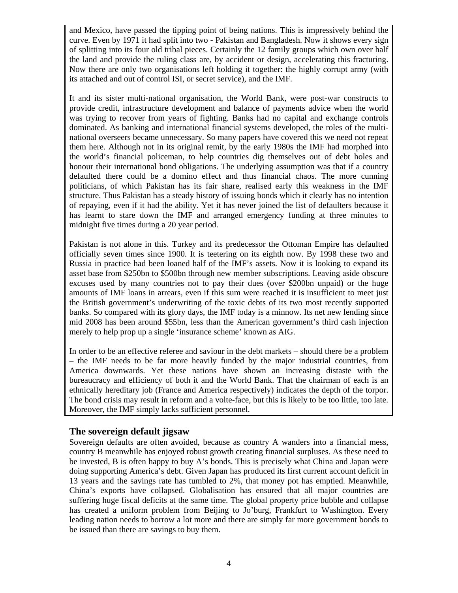and Mexico, have passed the tipping point of being nations. This is impressively behind the curve. Even by 1971 it had split into two - Pakistan and Bangladesh. Now it shows every sign of splitting into its four old tribal pieces. Certainly the 12 family groups which own over half the land and provide the ruling class are, by accident or design, accelerating this fracturing. Now there are only two organisations left holding it together: the highly corrupt army (with its attached and out of control ISI, or secret service), and the IMF.

It and its sister multi-national organisation, the World Bank, were post-war constructs to provide credit, infrastructure development and balance of payments advice when the world was trying to recover from years of fighting. Banks had no capital and exchange controls dominated. As banking and international financial systems developed, the roles of the multinational overseers became unnecessary. So many papers have covered this we need not repeat them here. Although not in its original remit, by the early 1980s the IMF had morphed into the world's financial policeman, to help countries dig themselves out of debt holes and honour their international bond obligations. The underlying assumption was that if a country defaulted there could be a domino effect and thus financial chaos. The more cunning politicians, of which Pakistan has its fair share, realised early this weakness in the IMF structure. Thus Pakistan has a steady history of issuing bonds which it clearly has no intention of repaying, even if it had the ability. Yet it has never joined the list of defaulters because it has learnt to stare down the IMF and arranged emergency funding at three minutes to midnight five times during a 20 year period.

Pakistan is not alone in this. Turkey and its predecessor the Ottoman Empire has defaulted officially seven times since 1900. It is teetering on its eighth now. By 1998 these two and Russia in practice had been loaned half of the IMF's assets. Now it is looking to expand its asset base from \$250bn to \$500bn through new member subscriptions. Leaving aside obscure excuses used by many countries not to pay their dues (over \$200bn unpaid) or the huge amounts of IMF loans in arrears, even if this sum were reached it is insufficient to meet just the British government's underwriting of the toxic debts of its two most recently supported banks. So compared with its glory days, the IMF today is a minnow. Its net new lending since mid 2008 has been around \$55bn, less than the American government's third cash injection merely to help prop up a single 'insurance scheme' known as AIG.

In order to be an effective referee and saviour in the debt markets – should there be a problem – the IMF needs to be far more heavily funded by the major industrial countries, from America downwards. Yet these nations have shown an increasing distaste with the bureaucracy and efficiency of both it and the World Bank. That the chairman of each is an ethnically hereditary job (France and America respectively) indicates the depth of the torpor. The bond crisis may result in reform and a volte-face, but this is likely to be too little, too late. Moreover, the IMF simply lacks sufficient personnel.

# **The sovereign default jigsaw**

Sovereign defaults are often avoided, because as country A wanders into a financial mess, country B meanwhile has enjoyed robust growth creating financial surpluses. As these need to be invested, B is often happy to buy A's bonds. This is precisely what China and Japan were doing supporting America's debt. Given Japan has produced its first current account deficit in 13 years and the savings rate has tumbled to 2%, that money pot has emptied. Meanwhile, China's exports have collapsed. Globalisation has ensured that all major countries are suffering huge fiscal deficits at the same time. The global property price bubble and collapse has created a uniform problem from Beijing to Jo'burg, Frankfurt to Washington. Every leading nation needs to borrow a lot more and there are simply far more government bonds to be issued than there are savings to buy them.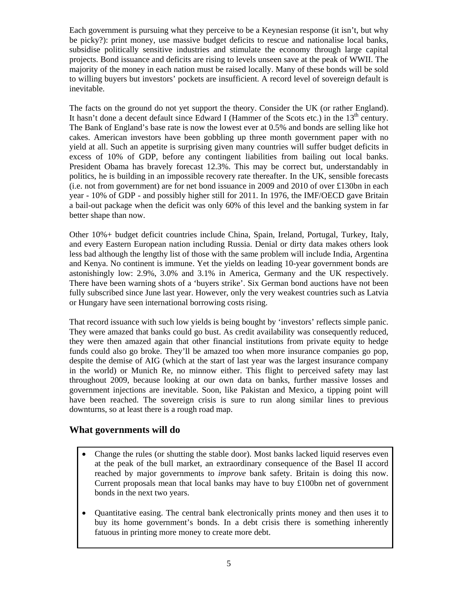Each government is pursuing what they perceive to be a Keynesian response (it isn't, but why be picky?): print money, use massive budget deficits to rescue and nationalise local banks, subsidise politically sensitive industries and stimulate the economy through large capital projects. Bond issuance and deficits are rising to levels unseen save at the peak of WWII. The majority of the money in each nation must be raised locally. Many of these bonds will be sold to willing buyers but investors' pockets are insufficient. A record level of sovereign default is inevitable.

The facts on the ground do not yet support the theory. Consider the UK (or rather England). It hasn't done a decent default since Edward I (Hammer of the Scots etc.) in the  $13<sup>th</sup>$  century. The Bank of England's base rate is now the lowest ever at 0.5% and bonds are selling like hot cakes. American investors have been gobbling up three month government paper with no yield at all. Such an appetite is surprising given many countries will suffer budget deficits in excess of 10% of GDP, before any contingent liabilities from bailing out local banks. President Obama has bravely forecast 12.3%. This may be correct but, understandably in politics, he is building in an impossible recovery rate thereafter. In the UK, sensible forecasts (i.e. not from government) are for net bond issuance in 2009 and 2010 of over £130bn in each year - 10% of GDP - and possibly higher still for 2011. In 1976, the IMF/OECD gave Britain a bail-out package when the deficit was only 60% of this level and the banking system in far better shape than now.

Other 10%+ budget deficit countries include China, Spain, Ireland, Portugal, Turkey, Italy, and every Eastern European nation including Russia. Denial or dirty data makes others look less bad although the lengthy list of those with the same problem will include India, Argentina and Kenya. No continent is immune. Yet the yields on leading 10-year government bonds are astonishingly low: 2.9%, 3.0% and 3.1% in America, Germany and the UK respectively. There have been warning shots of a 'buyers strike'. Six German bond auctions have not been fully subscribed since June last year. However, only the very weakest countries such as Latvia or Hungary have seen international borrowing costs rising.

That record issuance with such low yields is being bought by 'investors' reflects simple panic. They were amazed that banks could go bust. As credit availability was consequently reduced, they were then amazed again that other financial institutions from private equity to hedge funds could also go broke. They'll be amazed too when more insurance companies go pop, despite the demise of AIG (which at the start of last year was the largest insurance company in the world) or Munich Re, no minnow either. This flight to perceived safety may last throughout 2009, because looking at our own data on banks, further massive losses and government injections are inevitable. Soon, like Pakistan and Mexico, a tipping point will have been reached. The sovereign crisis is sure to run along similar lines to previous downturns, so at least there is a rough road map.

# **What governments will do**

- Change the rules (or shutting the stable door). Most banks lacked liquid reserves even at the peak of the bull market, an extraordinary consequence of the Basel II accord reached by major governments to *improve* bank safety. Britain is doing this now. Current proposals mean that local banks may have to buy £100bn net of government bonds in the next two years.
- Quantitative easing. The central bank electronically prints money and then uses it to buy its home government's bonds. In a debt crisis there is something inherently fatuous in printing more money to create more debt.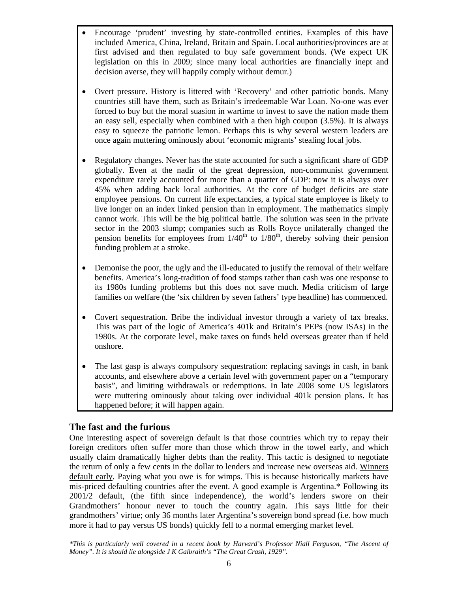- Encourage 'prudent' investing by state-controlled entities. Examples of this have included America, China, Ireland, Britain and Spain. Local authorities/provinces are at first advised and then regulated to buy safe government bonds. (We expect UK legislation on this in 2009; since many local authorities are financially inept and decision averse, they will happily comply without demur.)
- Overt pressure. History is littered with 'Recovery' and other patriotic bonds. Many countries still have them, such as Britain's irredeemable War Loan. No-one was ever forced to buy but the moral suasion in wartime to invest to save the nation made them an easy sell, especially when combined with a then high coupon (3.5%). It is always easy to squeeze the patriotic lemon. Perhaps this is why several western leaders are once again muttering ominously about 'economic migrants' stealing local jobs.
- Regulatory changes. Never has the state accounted for such a significant share of GDP globally. Even at the nadir of the great depression, non-communist government expenditure rarely accounted for more than a quarter of GDP: now it is always over 45% when adding back local authorities. At the core of budget deficits are state employee pensions. On current life expectancies, a typical state employee is likely to live longer on an index linked pension than in employment. The mathematics simply cannot work. This will be the big political battle. The solution was seen in the private sector in the 2003 slump; companies such as Rolls Royce unilaterally changed the pension benefits for employees from  $1/40^{th}$  to  $1/80^{th}$ , thereby solving their pension funding problem at a stroke.
- Demonise the poor, the ugly and the ill-educated to justify the removal of their welfare benefits. America's long-tradition of food stamps rather than cash was one response to its 1980s funding problems but this does not save much. Media criticism of large families on welfare (the 'six children by seven fathers' type headline) has commenced.
- Covert sequestration. Bribe the individual investor through a variety of tax breaks. This was part of the logic of America's 401k and Britain's PEPs (now ISAs) in the 1980s. At the corporate level, make taxes on funds held overseas greater than if held onshore.
- The last gasp is always compulsory sequestration: replacing savings in cash, in bank accounts, and elsewhere above a certain level with government paper on a "temporary basis", and limiting withdrawals or redemptions. In late 2008 some US legislators were muttering ominously about taking over individual 401k pension plans. It has happened before; it will happen again.

# **The fast and the furious**

One interesting aspect of sovereign default is that those countries which try to repay their foreign creditors often suffer more than those which throw in the towel early, and which usually claim dramatically higher debts than the reality. This tactic is designed to negotiate the return of only a few cents in the dollar to lenders and increase new overseas aid. Winners default early. Paying what you owe is for wimps. This is because historically markets have mis-priced defaulting countries after the event. A good example is Argentina.\* Following its 2001/2 default, (the fifth since independence), the world's lenders swore on their Grandmothers' honour never to touch the country again. This says little for their grandmothers' virtue; only 36 months later Argentina's sovereign bond spread (i.e. how much more it had to pay versus US bonds) quickly fell to a normal emerging market level.

*\*This is particularly well covered in a recent book by Harvard's Professor Niall Ferguson, "The Ascent of Money". It is should lie alongside J K Galbraith's "The Great Crash, 1929".*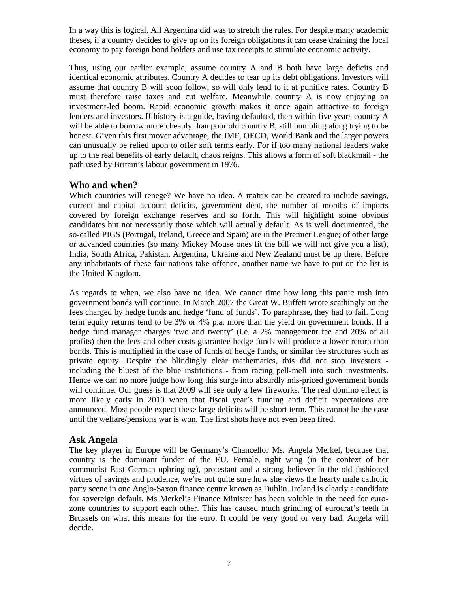In a way this is logical. All Argentina did was to stretch the rules. For despite many academic theses, if a country decides to give up on its foreign obligations it can cease draining the local economy to pay foreign bond holders and use tax receipts to stimulate economic activity.

Thus, using our earlier example, assume country A and B both have large deficits and identical economic attributes. Country A decides to tear up its debt obligations. Investors will assume that country B will soon follow, so will only lend to it at punitive rates. Country B must therefore raise taxes and cut welfare. Meanwhile country A is now enjoying an investment-led boom. Rapid economic growth makes it once again attractive to foreign lenders and investors. If history is a guide, having defaulted, then within five years country A will be able to borrow more cheaply than poor old country B, still bumbling along trying to be honest. Given this first mover advantage, the IMF, OECD, World Bank and the larger powers can unusually be relied upon to offer soft terms early. For if too many national leaders wake up to the real benefits of early default, chaos reigns. This allows a form of soft blackmail - the path used by Britain's labour government in 1976.

#### **Who and when?**

Which countries will renege? We have no idea. A matrix can be created to include savings, current and capital account deficits, government debt, the number of months of imports covered by foreign exchange reserves and so forth. This will highlight some obvious candidates but not necessarily those which will actually default. As is well documented, the so-called PIGS (Portugal, Ireland, Greece and Spain) are in the Premier League; of other large or advanced countries (so many Mickey Mouse ones fit the bill we will not give you a list), India, South Africa, Pakistan, Argentina, Ukraine and New Zealand must be up there. Before any inhabitants of these fair nations take offence, another name we have to put on the list is the United Kingdom.

As regards to when, we also have no idea. We cannot time how long this panic rush into government bonds will continue. In March 2007 the Great W. Buffett wrote scathingly on the fees charged by hedge funds and hedge 'fund of funds'. To paraphrase, they had to fail. Long term equity returns tend to be 3% or 4% p.a. more than the yield on government bonds. If a hedge fund manager charges 'two and twenty' (i.e. a 2% management fee and 20% of all profits) then the fees and other costs guarantee hedge funds will produce a lower return than bonds. This is multiplied in the case of funds of hedge funds, or similar fee structures such as private equity. Despite the blindingly clear mathematics, this did not stop investors including the bluest of the blue institutions - from racing pell-mell into such investments. Hence we can no more judge how long this surge into absurdly mis-priced government bonds will continue. Our guess is that 2009 will see only a few fireworks. The real domino effect is more likely early in 2010 when that fiscal year's funding and deficit expectations are announced. Most people expect these large deficits will be short term. This cannot be the case until the welfare/pensions war is won. The first shots have not even been fired.

#### **Ask Angela**

The key player in Europe will be Germany's Chancellor Ms. Angela Merkel, because that country is the dominant funder of the EU. Female, right wing (in the context of her communist East German upbringing), protestant and a strong believer in the old fashioned virtues of savings and prudence, we're not quite sure how she views the hearty male catholic party scene in one Anglo-Saxon finance centre known as Dublin. Ireland is clearly a candidate for sovereign default. Ms Merkel's Finance Minister has been voluble in the need for eurozone countries to support each other. This has caused much grinding of eurocrat's teeth in Brussels on what this means for the euro. It could be very good or very bad. Angela will decide.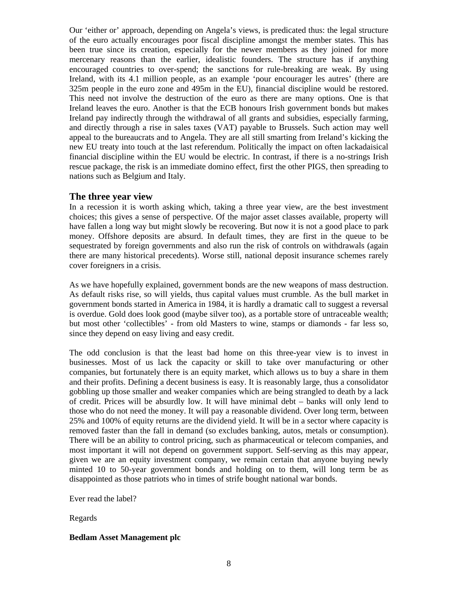Our 'either or' approach, depending on Angela's views, is predicated thus: the legal structure of the euro actually encourages poor fiscal discipline amongst the member states. This has been true since its creation, especially for the newer members as they joined for more mercenary reasons than the earlier, idealistic founders. The structure has if anything encouraged countries to over-spend; the sanctions for rule-breaking are weak. By using Ireland, with its 4.1 million people, as an example 'pour encourager les autres' (there are 325m people in the euro zone and 495m in the EU), financial discipline would be restored. This need not involve the destruction of the euro as there are many options. One is that Ireland leaves the euro. Another is that the ECB honours Irish government bonds but makes Ireland pay indirectly through the withdrawal of all grants and subsidies, especially farming, and directly through a rise in sales taxes (VAT) payable to Brussels. Such action may well appeal to the bureaucrats and to Angela. They are all still smarting from Ireland's kicking the new EU treaty into touch at the last referendum. Politically the impact on often lackadaisical financial discipline within the EU would be electric. In contrast, if there is a no-strings Irish rescue package, the risk is an immediate domino effect, first the other PIGS, then spreading to nations such as Belgium and Italy.

#### **The three year view**

In a recession it is worth asking which, taking a three year view, are the best investment choices; this gives a sense of perspective. Of the major asset classes available, property will have fallen a long way but might slowly be recovering. But now it is not a good place to park money. Offshore deposits are absurd. In default times, they are first in the queue to be sequestrated by foreign governments and also run the risk of controls on withdrawals (again there are many historical precedents). Worse still, national deposit insurance schemes rarely cover foreigners in a crisis.

As we have hopefully explained, government bonds are the new weapons of mass destruction. As default risks rise, so will yields, thus capital values must crumble. As the bull market in government bonds started in America in 1984, it is hardly a dramatic call to suggest a reversal is overdue. Gold does look good (maybe silver too), as a portable store of untraceable wealth; but most other 'collectibles' - from old Masters to wine, stamps or diamonds - far less so, since they depend on easy living and easy credit.

The odd conclusion is that the least bad home on this three-year view is to invest in businesses. Most of us lack the capacity or skill to take over manufacturing or other companies, but fortunately there is an equity market, which allows us to buy a share in them and their profits. Defining a decent business is easy. It is reasonably large, thus a consolidator gobbling up those smaller and weaker companies which are being strangled to death by a lack of credit. Prices will be absurdly low. It will have minimal debt – banks will only lend to those who do not need the money. It will pay a reasonable dividend. Over long term, between 25% and 100% of equity returns are the dividend yield. It will be in a sector where capacity is removed faster than the fall in demand (so excludes banking, autos, metals or consumption). There will be an ability to control pricing, such as pharmaceutical or telecom companies, and most important it will not depend on government support. Self-serving as this may appear, given we are an equity investment company, we remain certain that anyone buying newly minted 10 to 50-year government bonds and holding on to them, will long term be as disappointed as those patriots who in times of strife bought national war bonds.

Ever read the label?

Regards

#### **Bedlam Asset Management plc**